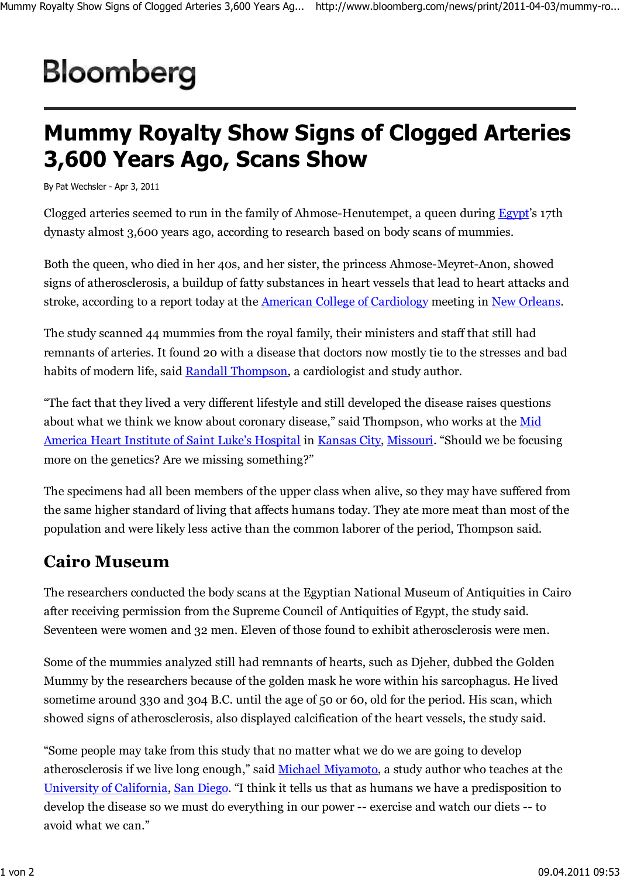## Bloomberg

## **Mummy Royalty Show Signs of Clogged Arteries 3,600 Years Ago, Scans Show**

By Pat Wechsler - Apr 3, 2011

Clogged arteries seemed to run in the family of Ahmose-Henutempet, a queen during Egypt's 17th dynasty almost 3,600 years ago, according to research based on body scans of mummies.

Both the queen, who died in her 40s, and her sister, the princess Ahmose-Meyret-Anon, showed signs of atherosclerosis, a buildup of fatty substances in heart vessels that lead to heart attacks and stroke, according to a report today at the American College of Cardiology meeting in New Orleans.

The study scanned 44 mummies from the royal family, their ministers and staff that still had remnants of arteries. It found 20 with a disease that doctors now mostly tie to the stresses and bad habits of modern life, said Randall Thompson, a cardiologist and study author.

"The fact that they lived a very different lifestyle and still developed the disease raises questions about what we think we know about coronary disease," said Thompson, who works at the Mid America Heart Institute of Saint Luke's Hospital in Kansas City, Missouri. "Should we be focusing more on the genetics? Are we missing something?"

The specimens had all been members of the upper class when alive, so they may have suffered from the same higher standard of living that affects humans today. They ate more meat than most of the population and were likely less active than the common laborer of the period, Thompson said.

## **Cairo Museum**

The researchers conducted the body scans at the Egyptian National Museum of Antiquities in Cairo after receiving permission from the Supreme Council of Antiquities of Egypt, the study said. Seventeen were women and 32 men. Eleven of those found to exhibit atherosclerosis were men.

Some of the mummies analyzed still had remnants of hearts, such as Djeher, dubbed the Golden Mummy by the researchers because of the golden mask he wore within his sarcophagus. He lived sometime around 330 and 304 B.C. until the age of 50 or 60, old for the period. His scan, which showed signs of atherosclerosis, also displayed calcification of the heart vessels, the study said.

"Some people may take from this study that no matter what we do we are going to develop atherosclerosis if we live long enough," said Michael Miyamoto, a study author who teaches at the University of California, San Diego. "I think it tells us that as humans we have a predisposition to develop the disease so we must do everything in our power -- exercise and watch our diets -- to avoid what we can."